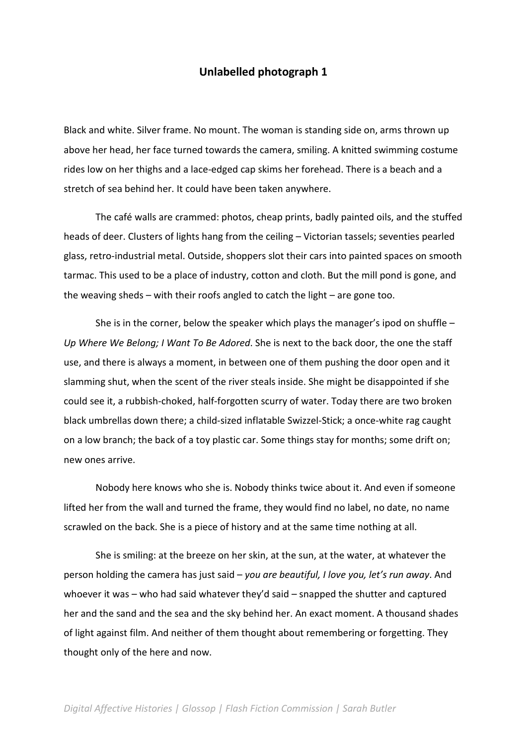#### **Unlabelled photograph 1**

Black and white. Silver frame. No mount. The woman is standing side on, arms thrown up above her head, her face turned towards the camera, smiling. A knitted swimming costume rides low on her thighs and a lace-edged cap skims her forehead. There is a beach and a stretch of sea behind her. It could have been taken anywhere.

The café walls are crammed: photos, cheap prints, badly painted oils, and the stuffed heads of deer. Clusters of lights hang from the ceiling – Victorian tassels; seventies pearled glass, retro-industrial metal. Outside, shoppers slot their cars into painted spaces on smooth tarmac. This used to be a place of industry, cotton and cloth. But the mill pond is gone, and the weaving sheds – with their roofs angled to catch the light – are gone too.

She is in the corner, below the speaker which plays the manager's ipod on shuffle – *Up Where We Belong; I Want To Be Adored*. She is next to the back door, the one the staff use, and there is always a moment, in between one of them pushing the door open and it slamming shut, when the scent of the river steals inside. She might be disappointed if she could see it, a rubbish-choked, half-forgotten scurry of water. Today there are two broken black umbrellas down there; a child-sized inflatable Swizzel-Stick; a once-white rag caught on a low branch; the back of a toy plastic car. Some things stay for months; some drift on; new ones arrive.

Nobody here knows who she is. Nobody thinks twice about it. And even if someone lifted her from the wall and turned the frame, they would find no label, no date, no name scrawled on the back. She is a piece of history and at the same time nothing at all.

She is smiling: at the breeze on her skin, at the sun, at the water, at whatever the person holding the camera has just said – *you are beautiful, I love you, let's run away*. And whoever it was – who had said whatever they'd said – snapped the shutter and captured her and the sand and the sea and the sky behind her. An exact moment. A thousand shades of light against film. And neither of them thought about remembering or forgetting. They thought only of the here and now.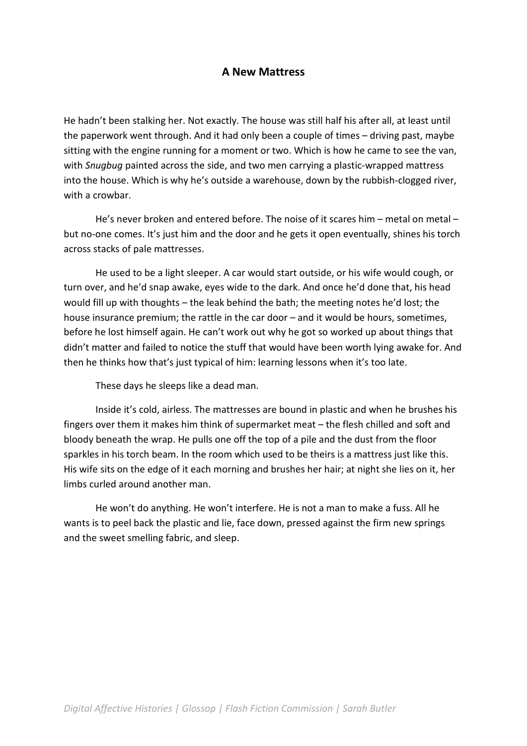### **A New Mattress**

He hadn't been stalking her. Not exactly. The house was still half his after all, at least until the paperwork went through. And it had only been a couple of times – driving past, maybe sitting with the engine running for a moment or two. Which is how he came to see the van, with *Snugbug* painted across the side, and two men carrying a plastic-wrapped mattress into the house. Which is why he's outside a warehouse, down by the rubbish-clogged river, with a crowbar.

He's never broken and entered before. The noise of it scares him – metal on metal – but no-one comes. It's just him and the door and he gets it open eventually, shines his torch across stacks of pale mattresses.

He used to be a light sleeper. A car would start outside, or his wife would cough, or turn over, and he'd snap awake, eyes wide to the dark. And once he'd done that, his head would fill up with thoughts – the leak behind the bath; the meeting notes he'd lost; the house insurance premium; the rattle in the car door – and it would be hours, sometimes, before he lost himself again. He can't work out why he got so worked up about things that didn't matter and failed to notice the stuff that would have been worth lying awake for. And then he thinks how that's just typical of him: learning lessons when it's too late.

These days he sleeps like a dead man.

Inside it's cold, airless. The mattresses are bound in plastic and when he brushes his fingers over them it makes him think of supermarket meat – the flesh chilled and soft and bloody beneath the wrap. He pulls one off the top of a pile and the dust from the floor sparkles in his torch beam. In the room which used to be theirs is a mattress just like this. His wife sits on the edge of it each morning and brushes her hair; at night she lies on it, her limbs curled around another man.

He won't do anything. He won't interfere. He is not a man to make a fuss. All he wants is to peel back the plastic and lie, face down, pressed against the firm new springs and the sweet smelling fabric, and sleep.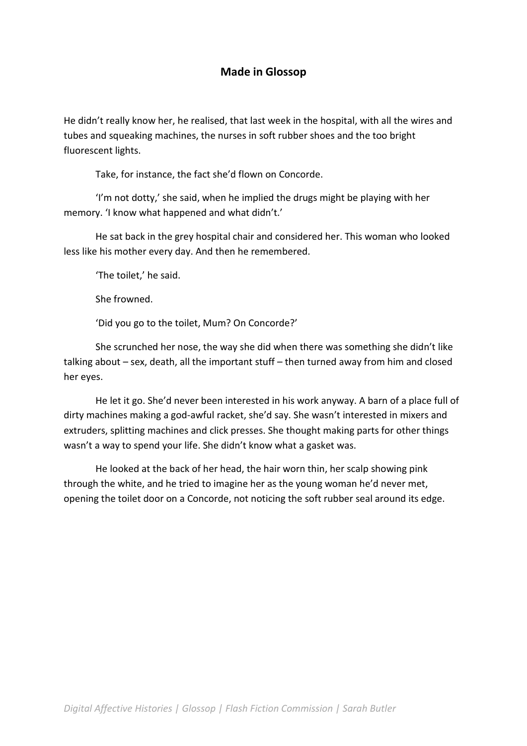# **Made in Glossop**

He didn't really know her, he realised, that last week in the hospital, with all the wires and tubes and squeaking machines, the nurses in soft rubber shoes and the too bright fluorescent lights.

Take, for instance, the fact she'd flown on Concorde.

'I'm not dotty,' she said, when he implied the drugs might be playing with her memory. 'I know what happened and what didn't.'

He sat back in the grey hospital chair and considered her. This woman who looked less like his mother every day. And then he remembered.

'The toilet,' he said.

She frowned.

'Did you go to the toilet, Mum? On Concorde?'

She scrunched her nose, the way she did when there was something she didn't like talking about – sex, death, all the important stuff – then turned away from him and closed her eyes.

He let it go. She'd never been interested in his work anyway. A barn of a place full of dirty machines making a god-awful racket, she'd say. She wasn't interested in mixers and extruders, splitting machines and click presses. She thought making parts for other things wasn't a way to spend your life. She didn't know what a gasket was.

He looked at the back of her head, the hair worn thin, her scalp showing pink through the white, and he tried to imagine her as the young woman he'd never met, opening the toilet door on a Concorde, not noticing the soft rubber seal around its edge.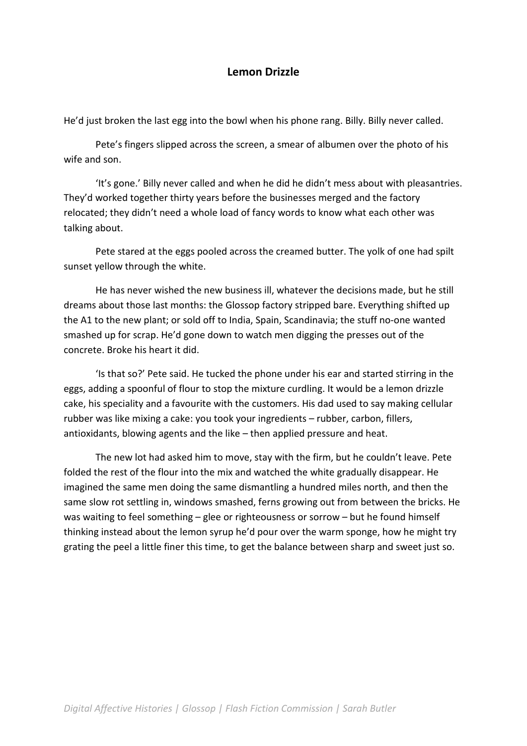### **Lemon Drizzle**

He'd just broken the last egg into the bowl when his phone rang. Billy. Billy never called.

Pete's fingers slipped across the screen, a smear of albumen over the photo of his wife and son.

'It's gone.' Billy never called and when he did he didn't mess about with pleasantries. They'd worked together thirty years before the businesses merged and the factory relocated; they didn't need a whole load of fancy words to know what each other was talking about.

Pete stared at the eggs pooled across the creamed butter. The yolk of one had spilt sunset yellow through the white.

He has never wished the new business ill, whatever the decisions made, but he still dreams about those last months: the Glossop factory stripped bare. Everything shifted up the A1 to the new plant; or sold off to India, Spain, Scandinavia; the stuff no-one wanted smashed up for scrap. He'd gone down to watch men digging the presses out of the concrete. Broke his heart it did.

'Is that so?' Pete said. He tucked the phone under his ear and started stirring in the eggs, adding a spoonful of flour to stop the mixture curdling. It would be a lemon drizzle cake, his speciality and a favourite with the customers. His dad used to say making cellular rubber was like mixing a cake: you took your ingredients – rubber, carbon, fillers, antioxidants, blowing agents and the like – then applied pressure and heat.

The new lot had asked him to move, stay with the firm, but he couldn't leave. Pete folded the rest of the flour into the mix and watched the white gradually disappear. He imagined the same men doing the same dismantling a hundred miles north, and then the same slow rot settling in, windows smashed, ferns growing out from between the bricks. He was waiting to feel something – glee or righteousness or sorrow – but he found himself thinking instead about the lemon syrup he'd pour over the warm sponge, how he might try grating the peel a little finer this time, to get the balance between sharp and sweet just so.